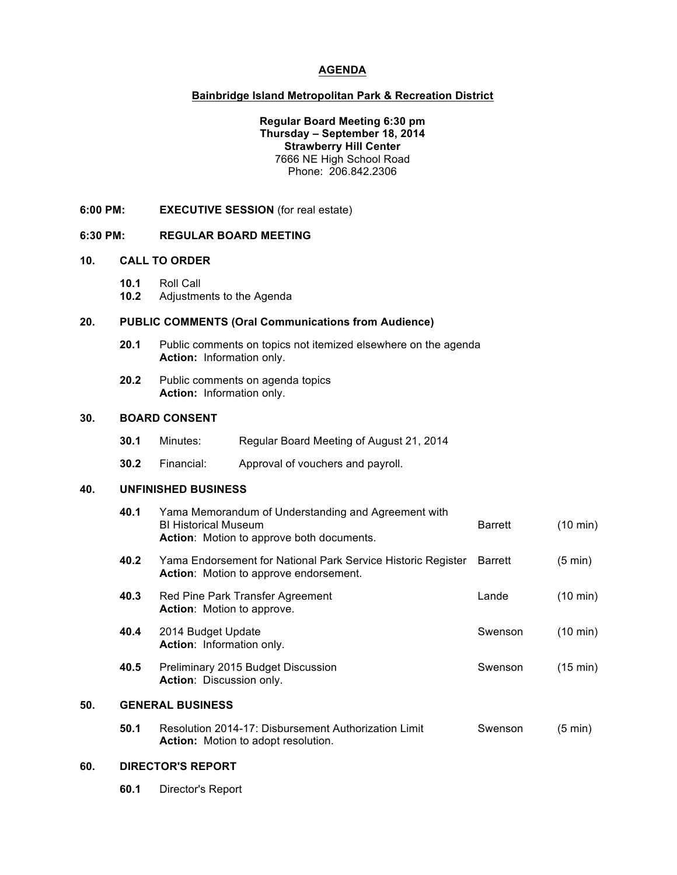### **AGENDA**

## **Bainbridge Island Metropolitan Park & Recreation District**

### **Regular Board Meeting 6:30 pm Thursday – September 18, 2014 Strawberry Hill Center** 7666 NE High School Road Phone: 206.842.2306

**6:00 PM: EXECUTIVE SESSION** (for real estate)

### **6:30 PM: REGULAR BOARD MEETING**

#### **10. CALL TO ORDER**

**10.1** Roll Call **10.2** Adjustments to the Agenda

### **20. PUBLIC COMMENTS (Oral Communications from Audience)**

- **20.1** Public comments on topics not itemized elsewhere on the agenda **Action:** Information only.
- **20.2** Public comments on agenda topics **Action:** Information only.

#### **30. BOARD CONSENT**

| 30.1 | Minutes: |  | Regular Board Meeting of August 21, 2014 |
|------|----------|--|------------------------------------------|
|------|----------|--|------------------------------------------|

**30.2** Financial: Approval of vouchers and payroll.

### **40. UNFINISHED BUSINESS**

|     | 40.1                    | Yama Memorandum of Understanding and Agreement with<br><b>BI Historical Museum</b><br>Action: Motion to approve both documents. | <b>Barrett</b> | $(10 \text{ min})$ |  |  |
|-----|-------------------------|---------------------------------------------------------------------------------------------------------------------------------|----------------|--------------------|--|--|
|     | 40.2                    | Yama Endorsement for National Park Service Historic Register<br>Action: Motion to approve endorsement.                          | <b>Barrett</b> | $(5 \text{ min})$  |  |  |
|     | 40.3                    | Red Pine Park Transfer Agreement<br><b>Action:</b> Motion to approve.                                                           | Lande          | $(10 \text{ min})$ |  |  |
|     | 40.4                    | 2014 Budget Update<br>Action: Information only.                                                                                 | Swenson        | $(10 \text{ min})$ |  |  |
|     | 40.5                    | Preliminary 2015 Budget Discussion<br><b>Action:</b> Discussion only.                                                           | Swenson        | $(15 \text{ min})$ |  |  |
| 50. | <b>GENERAL BUSINESS</b> |                                                                                                                                 |                |                    |  |  |
|     | 50.1                    | Resolution 2014-17: Disbursement Authorization Limit<br><b>Action:</b> Motion to adopt resolution.                              | Swenson        | $(5 \text{ min})$  |  |  |

### **60. DIRECTOR'S REPORT**

**60.1** Director's Report